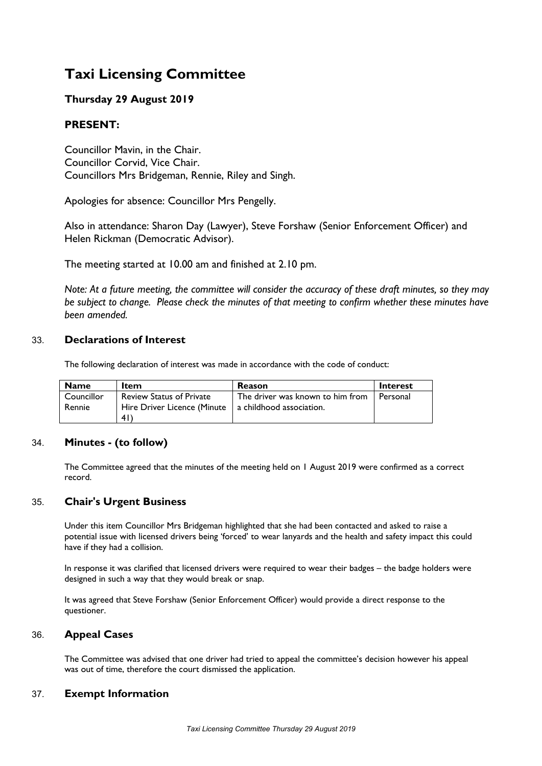# **Taxi Licensing Committee**

# **Thursday 29 August 2019**

# **PRESENT:**

Councillor Mavin, in the Chair. Councillor Corvid, Vice Chair. Councillors Mrs Bridgeman, Rennie, Riley and Singh.

Apologies for absence: Councillor Mrs Pengelly.

Also in attendance: Sharon Day (Lawyer), Steve Forshaw (Senior Enforcement Officer) and Helen Rickman (Democratic Advisor).

The meeting started at 10.00 am and finished at 2.10 pm.

Note: At a future meeting, the committee will consider the accuracy of these draft minutes, so they may *be subject to change. Please check the minutes of that meeting to confirm whether these minutes have been amended.*

## 33. **Declarations of Interest**

The following declaration of interest was made in accordance with the code of conduct:

| <b>Name</b>          | <b>Item</b>                                                                                     | <b>Reason</b>                    | <b>Interest</b> |
|----------------------|-------------------------------------------------------------------------------------------------|----------------------------------|-----------------|
| Councillor<br>Rennie | <b>Review Status of Private</b><br>Hire Driver Licence (Minute   a childhood association.<br>41 | The driver was known to him from | Personal        |

## 34. **Minutes - (to follow)**

The Committee agreed that the minutes of the meeting held on 1 August 2019 were confirmed as a correct record.

## 35. **Chair's Urgent Business**

Under this item Councillor Mrs Bridgeman highlighted that she had been contacted and asked to raise a potential issue with licensed drivers being 'forced' to wear lanyards and the health and safety impact this could have if they had a collision.

In response it was clarified that licensed drivers were required to wear their badges – the badge holders were designed in such a way that they would break or snap.

It was agreed that Steve Forshaw (Senior Enforcement Officer) would provide a direct response to the questioner.

## 36. **Appeal Cases**

The Committee was advised that one driver had tried to appeal the committee's decision however his appeal was out of time, therefore the court dismissed the application.

## 37. **Exempt Information**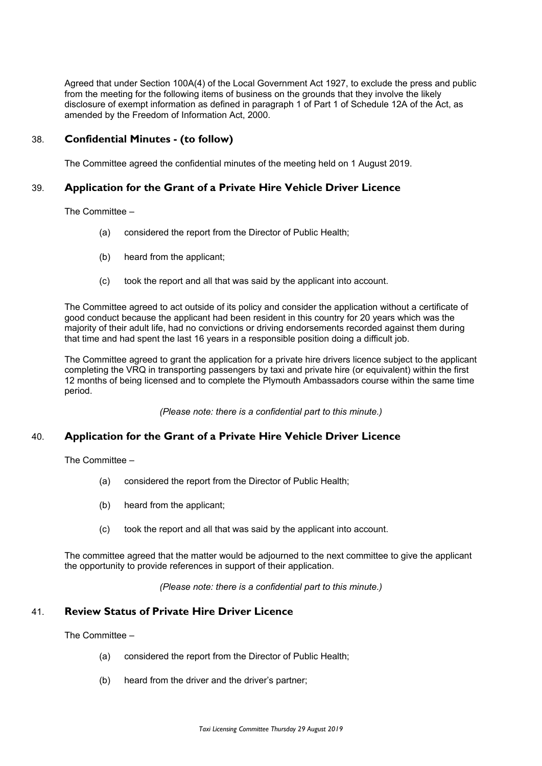Agreed that under Section 100A(4) of the Local Government Act 1927, to exclude the press and public from the meeting for the following items of business on the grounds that they involve the likely disclosure of exempt information as defined in paragraph 1 of Part 1 of Schedule 12A of the Act, as amended by the Freedom of Information Act, 2000.

#### 38. **Confidential Minutes - (to follow)**

The Committee agreed the confidential minutes of the meeting held on 1 August 2019.

#### 39. **Application for the Grant of a Private Hire Vehicle Driver Licence**

The Committee –

- (a) considered the report from the Director of Public Health;
- (b) heard from the applicant;
- (c) took the report and all that was said by the applicant into account.

The Committee agreed to act outside of its policy and consider the application without a certificate of good conduct because the applicant had been resident in this country for 20 years which was the majority of their adult life, had no convictions or driving endorsements recorded against them during that time and had spent the last 16 years in a responsible position doing a difficult job.

The Committee agreed to grant the application for a private hire drivers licence subject to the applicant completing the VRQ in transporting passengers by taxi and private hire (or equivalent) within the first 12 months of being licensed and to complete the Plymouth Ambassadors course within the same time period.

*(Please note: there is a confidential part to this minute.)*

#### 40. **Application for the Grant of a Private Hire Vehicle Driver Licence**

The Committee –

- (a) considered the report from the Director of Public Health;
- (b) heard from the applicant;
- (c) took the report and all that was said by the applicant into account.

The committee agreed that the matter would be adjourned to the next committee to give the applicant the opportunity to provide references in support of their application.

*(Please note: there is a confidential part to this minute.)*

#### 41. **Review Status of Private Hire Driver Licence**

The Committee –

- (a) considered the report from the Director of Public Health;
- (b) heard from the driver and the driver's partner;